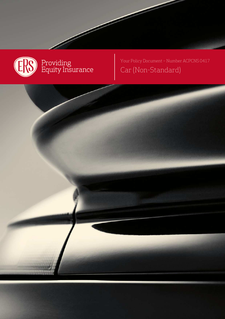

## Your Policy Document – Number ACPCNS 0417 Car (Non-Standard)

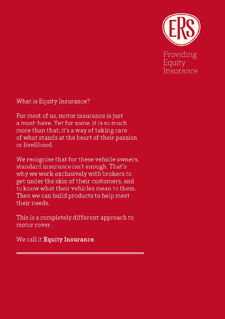

Providing Equity Insurance

What is Equity Insurance?

For most of us, motor insurance is just a must-have. Yet for some, it is so much more than that; it's a way of taking care of what stands at the heart of their passion or livelihood.

We recognise that for these vehicle owners, standard insurance isn't enough. That's why we work exclusively with brokers to get under the skin of their customers, and to know what their vehicles mean to them. Then we can build products to help meet their needs.

This is a completely different approach to motor cover.

We call it Equity Insurance.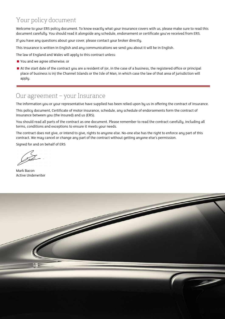### Your policy document

Welcome to your ERS policy document. To know exactly what your insurance covers with us, please make sure to read this document carefully. You should read it alongside any schedule, endorsement or certificate you've received from ERS.

If you have any questions about your cover, please contact your broker directly.

This insurance is written in English and any communications we send you about it will be in English.

The law of England and Wales will apply to this contract unless:

- You and we agree otherwise; or
- At the start date of the contract you are a resident of (or, in the case of a business, the registered office or principal place of business is in) the Channel Islands or the Isle of Man, in which case the law of that area of jurisdiction will apply.

### Our agreement – your Insurance

The information you or your representative have supplied has been relied upon by us in offering the contract of insurance.

This policy document, Certificate of motor insurance, schedule, any schedule of endorsements form the contract of insurance between you (the insured) and us (ERS).

You should read all parts of the contract as one document. Please remember to read the contract carefully, including all terms, conditions and exceptions to ensure it meets your needs.

The contract does not give, or intend to give, rights to anyone else. No-one else has the right to enforce any part of this contract. We may cancel or change any part of the contract without getting anyone else's permission.

Signed for and on behalf of ERS

Mark Bacon Active Underwriter

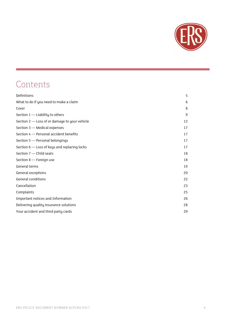

## Contents

| Definitions                                   | 5  |
|-----------------------------------------------|----|
| What to do if you need to make a claim        | 6  |
| Cover                                         | 8  |
| Section $1$ - Liability to others             | 9  |
| Section 2 – Loss of or damage to your vehicle | 12 |
| Section 3 - Medical expenses                  | 17 |
| Section 4 - Personal accident benefits        | 17 |
| Section 5 - Personal belongings               | 17 |
| Section 6 - Loss of keys and replacing locks  | 17 |
| Section 7 - Child seats                       | 18 |
| Section 8 - Foreign use                       | 18 |
| General terms                                 | 19 |
| General exceptions                            | 20 |
| General conditions                            | 22 |
| Cancellation                                  | 23 |
| Complaints                                    | 25 |
| Important notices and Information             | 26 |
| Delivering quality insurance solutions        | 28 |
| Your accident and third party cards           | 29 |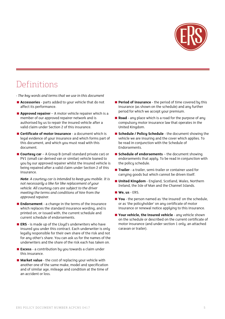

## Definitions

- *The key words and terms that we use in this document*
- **Accessories** parts added to your vehicle that do not affect its performance.
- **Approved repairer** A motor vehicle repairer which is a member of our approved repairer network and is authorised by us to repair the insured vehicle after a valid claim under Section 2 of this insurance.
- **Certificate of motor insurance** a document which is legal evidence of your insurance and which forms part of this document, and which you must read with this document.
- **Courtesy car** A Group B (small standard private car) or PV1 (small car-derived van or similar) vehicle loaned to you by our approved repairer whilst the insured vehicle is being repaired after a valid claim under Section 2 of this insurance.

*Note: A courtesy car is intended to keep you mobile. It is not necessarily a like for like replacement of your vehicle. All courtesy cars are subject to the driver meeting the terms and conditions of hire from the approved repairer.* 

- **Endorsement** a change in the terms of the insurance which replaces the standard insurance wording, and is printed on, or issued with, the current schedule and current schedule of endorsements.
- **ERS** is made up of the Lloyd's underwriters who have insured you under this contract. Each underwriter is only legally responsible for their own share of the risk and not for any other's share. You can ask us for the names of the underwriters and the share of the risk each has taken on.
- **Excess** a contribution by you towards a claim under this insurance.
- **Market value** the cost of replacing your vehicle with another one of the same make, model and specification and of similar age, mileage and condition at the time of an accident or loss.
- **Period of insurance** the period of time covered by this insurance (as shown on the schedule) and any further period for which we accept your premium.
- **Road** any place which is a road for the purpose of any compulsory motor insurance law that operates in the United Kingdom.
- **Schedule / Policy Schedule** the document showing the vehicle we are insuring and the cover which applies. To be read in conjunction with the Schedule of Endorsements.
- **Schedule of endorsements** the document showing endorsements that apply. To be read in conjunction with the policy schedule.
- **Trailer** a trailer, semi-trailer or container used for carruing goods but which cannot be driven itself.
- **United Kingdom** England, Scotland, Wales, Northern Ireland, the Isle of Man and the Channel Islands.
- **We, us** ERS.
- **You** the person named as 'the insured' on the schedule, or as 'the policyholder' on any certificate of motor insurance or renewal notice applying to this insurance.
- **P** Your vehicle, the insured vehicle any vehicle shown on the schedule or described on the current certificate of motor insurance (and under section 1 only, an attached caravan or trailer).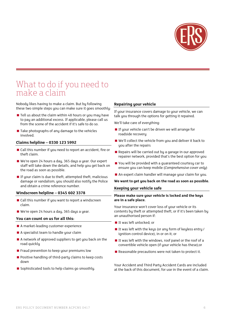

### What to do if you need to make a claim

Nobody likes having to make a claim. But by following these two simple steps you can make sure it goes smoothly:

- Tell us about the claim within 48 hours or you may have to pay an additional excess. If applicable, please call us from the scene of the accident if it's safe to do so.
- $\blacksquare$  Take photographs of any damage to the vehicles involved.

#### **Claims helpline – 0330 123 5992**

- Call this number if you need to report an accident, fire or theft claim.
- We're open 24 hours a day, 365 days a year. Our expert staff will take down the details, and help you get back on the road as soon as possible.
- $\blacksquare$  If your claim is due to theft, attempted theft, malicious damage or vandalism, you should also notify the Police and obtain a crime reference number.

#### **Windscreen helpline – 0345 602 3378**

- Call this number if you want to report a windscreen claim.
- We're open 24 hours a day, 365 days a year.

#### **You can count on us for all this:**

- A market-leading customer experience
- A specialist team to handle your claim
- A network of approved suppliers to get you back on the road quickly
- Fraud prevention to keep your premiums low
- **Positive handling of third-party claims to keep costs** down
- Sophisticated tools to help claims go smoothly.

#### **Repairing your vehicle**

If your insurance covers damage to your vehicle, we can talk you through the options for getting it repaired.

We'll take care of everything:

- $\blacksquare$  If your vehicle can't be driven we will arrange for roadside recovery
- We'll collect the vehicle from you and deliver it back to you after the repairs
- Repairs will be carried out by a garage in our approved repairer network, provided that's the best option for you
- You will be provided with a quaranteed courtesy car to ensure you can keep mobile (*Comprehensive cover only*)
- $\blacksquare$  An expert claim handler will manage your claim for you.

**We want to get you back on the road as soon as possible.** 

#### **Keeping your vehicle safe**

#### **Please make sure your vehicle is locked and the keys are in a safe place.**

Your insurance won't cover loss of your vehicle or its contents by theft or attempted theft, or if it's been taken by an unauthorised person if:

- It was left unlocked: or
- If was left with the keys (or any form of keyless entry  $/$ ignition control device), in or on it; or
- If was left with the windows, roof panel or the roof of a convertible vehicle open (if your vehicle has these);or
- $\blacksquare$  Reasonable precautions were not taken to protect it.

Your Accident and Third Party Accident Cards are included at the back of this document, for use in the event of a claim.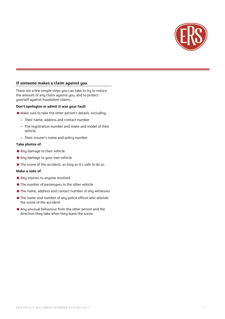

#### **If someone makes a claim against you**

There are a few simple steps you can take to try to reduce the amount of any claim against you, and to protect yourself against fraudulent claims.

#### **Don't apologise or admit it was your fault**

- Make sure to take the other person's details, including:
	- Their name, address and contact number
	- The registration number and make and model of their vehicle
	- Their insurer's name and policy number.

#### **Take photos of:**

- Any damage to their vehicle
- Any damage to your own vehicle
- The scene of the accident, as long as it's safe to do so.

#### **Make a note of:**

- Any injuries to anyone involved
- $\blacksquare$  The number of passengers in the other vehicle
- $\blacksquare$  The name, address and contact number of any witnesses
- $\blacksquare$  The name and number of any police officer who attends the scene of the accident
- Any unusual behaviour from the other person and the direction they take when they leave the scene.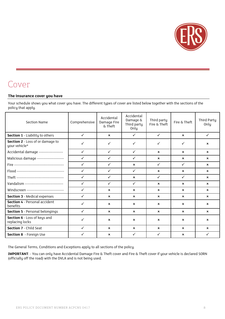

## Cover

#### **The insurance cover you have**

Your schedule shows you what cover you have. The different types of cover are listed below together with the sections of the policy that apply.

| <b>Section Name</b>                                      | Comprehensive | Accidental<br>Damage Fire<br>& Theft | Accidental<br>Damage &<br>Third party<br>Only | Third party<br>Fire & Theft | Fire & Theft              | Third Party<br>Only |
|----------------------------------------------------------|---------------|--------------------------------------|-----------------------------------------------|-----------------------------|---------------------------|---------------------|
| Section 1 - Liability to others                          | $\checkmark$  | $\mathbf x$                          | $\checkmark$                                  | $\checkmark$                | $\mathbf x$               | $\checkmark$        |
| <b>Section 2</b> - Loss of or damage to<br>your vehicle* | ✓             | $\checkmark$                         | $\checkmark$                                  | $\checkmark$                | $\checkmark$              | $\mathbf x$         |
| Accidental damage -------------------                    | $\checkmark$  | $\checkmark$                         | $\checkmark$                                  | $\mathbf x$                 | $\mathbf x$               | $\mathbf x$         |
| Malicious damage ---------------------                   | $\checkmark$  | $\checkmark$                         | $\checkmark$                                  | $\mathbf x$                 | $\boldsymbol{\mathsf{x}}$ | $\mathbf x$         |
|                                                          | $\checkmark$  | $\checkmark$                         | $\mathbf{x}$                                  | $\checkmark$                | $\checkmark$              | $\pmb{\times}$      |
|                                                          | $\checkmark$  | $\checkmark$                         | $\checkmark$                                  | $\mathbf x$                 | $\mathbf x$               | $\mathbf x$         |
|                                                          | $\checkmark$  | $\checkmark$                         | $\pmb{\times}$                                | $\checkmark$                | $\checkmark$              | $\mathbf x$         |
| Vandalism ------------------------------                 | $\checkmark$  | $\checkmark$                         | $\checkmark$                                  | $\mathbf x$                 | $\mathbf x$               | $\mathbf x$         |
| Windscreen ----------------------------                  | $\checkmark$  | $\mathbf x$                          | $\pmb{\times}$                                | $\mathbf x$                 | $\mathbf x$               | $\mathbf x$         |
| <b>Section 3</b> - Medical expenses                      | $\checkmark$  | $\boldsymbol{\mathsf{x}}$            | $\mathbf x$                                   | $\mathbf x$                 | $\mathbf x$               | $\mathbf x$         |
| <b>Section 4 - Personal accident</b><br>benefits         | $\checkmark$  | ×                                    | $\pmb{\times}$                                | $\mathbf x$                 | $\mathbf x$               | $\pmb{\times}$      |
| <b>Section 5</b> - Personal belongings                   | $\checkmark$  | x                                    | $\mathbf x$                                   | $\mathbf x$                 | $\mathbf x$               | $\mathbf x$         |
| Section 6 - Loss of keys and<br>replacing locks          | ✓             | ×                                    | $\mathbf x$                                   | $\mathbf x$                 | $\mathbf x$               | $\mathbf x$         |
| <b>Section 7 - Child Seat</b>                            | $\checkmark$  | $\mathbf x$                          | $\mathbf x$                                   | $\mathbf x$                 | $\mathbf x$               | $\mathbf x$         |
| Section 8 - Foreign Use                                  | $\checkmark$  | $\boldsymbol{\mathsf{x}}$            | $\checkmark$                                  | $\checkmark$                | $\mathbf x$               | $\checkmark$        |

The General Terms, Conditions and Exceptions apply to all sections of the policy.

**IMPORTANT**: - You can only have Accidental Damage Fire & Theft cover and Fire & Theft cover if your vehicle is declared SORN (officially off the road) with the DVLA and is not being used.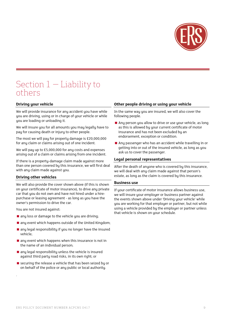

## Section 1 — Liability to others

#### **Driving your vehicle**

We will provide insurance for any accident you have while you are driving, using or in charge of your vehicle or while you are loading or unloading it.

We will insure you for all amounts you may legally have to pay for causing death or injury to other people.

The most we will pay for property damage is £20,000,000 for any claim or claims arising out of one incident.

We will pay up to £5,000,000 for any costs and expenses arising out of a claim or claims arising from one incident.

If there is a property-damage claim made against more than one person covered by this insurance, we will first deal with any claim made against you.

#### **Driving other vehicles**

We will also provide the cover shown above (if this is shown on your certificate of motor insurance), to drive any private car that you do not own and have not hired under a hirepurchase or leasing agreement - as long as you have the owner's permission to drive the car.

You are not insured against:

.

- any loss or damage to the vehicle you are driving;
- $\blacksquare$  any event which happens outside of the United Kingdom;
- any legal responsibility if you no longer have the insured vehicle;
- $\blacksquare$  any event which happens when this insurance is not in the name of an individual person;
- $\blacksquare$  any legal responsibility unless the vehicle is insured against third party road risks, in its own right; or
- securing the release a vehicle that has been seized by or on behalf of the police or any public or local authority.

#### **Other people driving or using your vehicle**

In the same way you are insured, we will also cover the following people.

- Any person you allow to drive or use your vehicle, as long as this is allowed by your current certificate of motor insurance and has not been excluded by an endorsement, exception or condition.
- Any passenger who has an accident while travelling in or getting into or out of the insured vehicle, as long as you ask us to cover the passenger.

#### **Legal personal representatives**

After the death of anyone who is covered by this insurance, we will deal with any claim made against that person's estate, as long as the claim is covered by this insurance.

#### **Business use**

If your certificate of motor insurance allows business use, we will insure your employer or business partner against the events shown above under 'Driving your vehicle' while you are working for that employer or partner, but not while using a vehicle provided by the employer or partner unless that vehicle is shown on your schedule.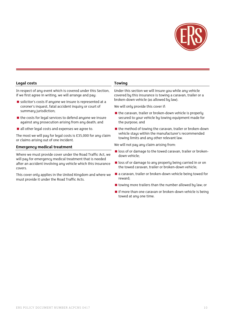

#### **Legal costs**

In respect of any event which is covered under this Section. if we first agree in writing, we will arrange and pay:

- solicitor's costs if anyone we insure is represented at a coroner's inquest, fatal accident inquiry or court of summary jurisdiction;
- $\blacksquare$  the costs for legal services to defend anyone we insure against any prosecution arising from any death; and
- all other legal costs and expenses we agree to.

The most we will pay for legal costs is £35,000 for any claim or claims arising out of one incident.

#### **Emergency medical treatment**

Where we must provide cover under the Road Traffic Act, we will pay for emergency medical treatment that is needed after an accident involving any vehicle which this insurance covers.

This cover only applies in the United Kingdom and where we must provide it under the Road Traffic Acts.

#### **Towing**

Under this section we will insure you while any vehicle covered by this insurance is towing a caravan, trailer or a broken-down vehicle (as allowed by law).

We will only provide this cover if:

- $\blacksquare$  the caravan, trailer or broken-down vehicle is properly secured to your vehicle by towing equipment made for the purpose; and
- $\blacksquare$  the method of towing the caravan, trailer or broken-down vehicle stays within the manufacturer's recommended towing limits and any other relevant law.

We will not pay any claim arising from:

- loss of or damage to the towed caravan, trailer or brokendown vehicle;
- loss of or damage to any property being carried in or on the towed caravan, trailer or broken-down vehicle;
- a caravan, trailer or broken-down vehicle being towed for reward;
- $\blacksquare$  towing more trailers than the number allowed by law; or
- $\blacksquare$  if more than one caravan or broken-down vehicle is being towed at any one time.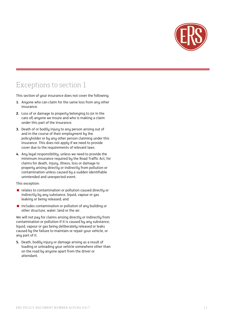

### Exceptions to section 1

This section of your insurance does not cover the following.

- **1.** Anyone who can claim for the same loss from any other insurance.
- **2.** Loss of or damage to property belonging to (or in the care of) anyone we insure and who is making a claim under this part of the insurance.
- **3.** Death of or bodily injury to any person arising out of and in the course of their employment by the policyholder or by any other person claiming under this insurance. This does not apply if we need to provide cover due to the requirements of relevant laws.
- **4.** Any legal responsibility, unless we need to provide the minimum insurance required by the Road Traffic Act, for claims for death, injury, illness, loss or damage to property arising directly or indirectly from pollution or contamination unless caused by a sudden identifiable unintended and unexpected event.

#### This exception:

- $\blacksquare$  relates to contamination or pollution caused directly or indirectly by any substance, liquid, vapour or gas leaking or being released; and
- $\blacksquare$  includes contamination or pollution of any building or other structure, water, land or the air.

We will not pay for claims arising directly or indirectly from contamination or pollution if it is caused by any substance, liquid, vapour or gas being deliberately released or leaks caused by the failure to maintain or repair your vehicle, or any part of it.

**5.** Death, bodily injury or damage arising as a result of loading or unloading your vehicle somewhere other than on the road by anyone apart from the driver or attendant.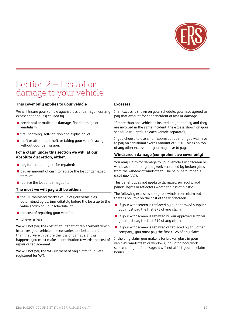

## Section 2 — Loss of or damage to your vehicle

#### **This cover only applies to your vehicle**

We will insure your vehicle against loss or damage (less any excess that applies) caused by:

- accidental or malicious damage, flood damage or vandalism;
- $\blacksquare$  fire, lightning, self-ignition and explosion; or
- $\blacksquare$  theft or attempted theft, or taking your vehicle away without your permission.

#### **For a claim under this section we will, at our absolute discretion, either:**

- $\blacksquare$  pay for the damage to be repaired;
- pay an amount of cash to replace the lost or damaged item; or
- replace the lost or damaged item.

#### **The most we will pay will be either:**

- the UK mainland market value of your vehicle as determined by us, immediately before the loss; up to the value shown on your schedule; or
- $\blacksquare$  the cost of repairing your vehicle;

#### whichever is less.

We will not pay the cost of any repair or replacement which improves your vehicle or accessories to a better condition than they were in before the loss or damage. If this happens, you must make a contribution towards the cost of repair or replacement.

We will not pay the VAT element of any claim if you are registered for VAT.

#### **Excesses**

If an excess is shown on your schedule, you have agreed to pay that amount for each incident of loss or damage.

If more than one vehicle is insured on your policy and they are involved in the same incident, the excess shown on your schedule will apply to each vehicle separately.

If you choose to use a non-approved repairer, you will have to pay an additional excess amount of £250. This is on top of any other excess that you may have to pay.

#### **Windscreen damage (comprehensive cover only)**

You may claim for damage to your vehicle's windscreen or windows and for any bodywork scratched by broken glass from the window or windscreen. The helpline number is 0345 602 3378.

This benefit does not apply to damaged sun roofs, roof panels, lights or reflectors whether glass or plastic.

The following excesses apply to a windscreen claim but there is no limit on the cost of the windscreen.

- **If your windscreen is replaced by our approved supplier,** you must pay the first £75 of any claim.
- $\blacksquare$  If your windscreen is repaired by our approved supplier, you must pay the first £10 of any claim.
- $\blacksquare$  If your windscreen is repaired or replaced by any other company, you must pay the first £125 of any claim.

If the only claim you make is for broken glass in your vehicle's windscreen or windows, including bodywork scratched bu the breakage, it will not affect your no claim bonus.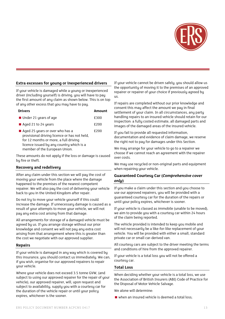

#### **Extra excesses for young or inexperienced drivers**

If your vehicle is damaged while a young or inexperienced driver (including yourself) is driving, you will have to pay the first amount of any claim as shown below. This is on top of any other excess that you may have to pay.

| <b>Drivers</b>                                                                                                                                                                                        | Amount |
|-------------------------------------------------------------------------------------------------------------------------------------------------------------------------------------------------------|--------|
| $\blacksquare$ Under 21 years of age                                                                                                                                                                  | £300   |
| $\blacksquare$ Aged 21 to 24 years                                                                                                                                                                    | £200   |
| Aged 25 years or over who has a<br>provisional driving licence or has not held,<br>for 12 months or more, a full driving<br>licence issued by any country which is a<br>member of the European Union. | £200   |

These amounts do not apply if the loss or damage is caused by fire or theft.

#### **Recovery and redelivery**

After any claim under this section we will pay the cost of moving your vehicle from the place where the damage happened to the premises of the nearest competent repairer. We will also pay the cost of delivering your vehicle back to you in the United Kingdom after repair.

Do not try to move your vehicle yourself if this could increase the damage. If unnecessary damage is caused as a result of your attempts to move your vehicle, we will not pay any extra cost arising from that damage.

All arrangements for storage of a damaged vehicle must be agreed by us. If you arrange storage without our prior knowledge and consent we will not pay any extra cost arising from that arrangement where this is greater than the cost we negotiate with our approved supplier.

#### **Repairs**

If your vehicle is damaged in any way which is covered by this insurance, you should contact us immediately. We can, if you wish, organise for our approved repairers to repair your vehicle.

Where your vehicle does not exceed 3.5 tonne GVW, (and subject to using our approved repairer for the repair of your vehicle), our approved repairer, will, upon request and subject to availability, supply you with a courtesy car for the duration of the vehicle repair or until your policy expires, whichever is the sooner.

If your vehicle cannot be driven safely, you should allow us the opportunity of moving it to the premises of an approved repairer or repairer of your choice if previously agreed by us.

If repairs are completed without our prior knowledge and consent this may affect the amount we pay in final settlement of your claim. In all circumstances, any party handling repairs to an insured vehicle should retain for our inspection: a fully costed estimate, all damaged parts and images of the damaged areas of the insured vehicle.

If you fail to provide all requested information, documentation and evidence of claim damage, we reserve the right not to pay for damages under this Section.

We may arrange for your vehicle to go to a repairer we choose if we cannot reach an agreement with the repairer over costs.

We may use recucled or non-original parts and equipment when repairing your vehicle.

#### **Guaranteed Courtesy Car (***Comprehensive cover only***)**

If you make a claim under this section and you choose to use our approved repairers, you will be provided with a guaranteed courtesy car for the duration of the repairs or until your policy expires, whichever is sooner.

If your vehicle is classed as immobile (unable to be moved), we aim to provide you with a courtesy car within 24 hours of the claim being reported.

The vehicle provided is intended to keep you mobile and will not necessarily be a like-for-like replacement of your vehicle. You will be provided with either a small, standard private car or small car-derived van.

All courtesu cars are subject to the driver meeting the terms and conditions of hire from the approved repairer.

If your vehicle is a total loss you will not be offered a courtesy car.

#### **Total Loss**

When deciding whether your vehicle is a total loss, we use the Association of British Insurers (ABI) Code of Practice for the Disposal of Motor Vehicle Salvage.

We alone will determine:

when an insured vehicle is deemed a total loss;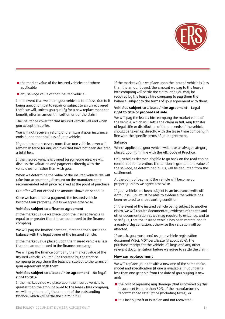

- $\blacksquare$  the market value of the insured vehicle; and where applicable;
- any salvage value of that insured vehicle.

In the event that we deem your vehicle a total loss, due to it being uneconomical to repair or subject to an unrecovered theft, we will, unless you qualify for a new replacement car benefit, offer an amount in settlement of the claim.

The insurance cover for that insured vehicle will end when you accept that offer.

You will not receive a refund of premium if your insurance ends due to the total loss of your vehicle.

If your insurance covers more than one vehicle, cover will remain in force for any vehicles that have not been declared a total loss.

If the insured vehicle is owned by someone else, we will discuss the valuation and payments directly with the vehicle owner rather than with you.

When we determine the value of the insured vehicle, we will take into account any discount on the manufacturer's recommended retail price received at the point of purchase.

Our offer will not exceed the amount shown on schedule.

Once we have made a payment, the insured vehicle becomes our property unless we agree otherwise.

#### **Vehicles subject to a finance agreement**

If the market value we place upon the insured vehicle is equal to or greater than the amount owed to the finance company:

We will pay the finance company first and then settle the balance with the legal owner of the insured vehicle.

If the market value placed upon the insured vehicle is less than the amount owed to the finance company:

We will pay the finance company the market value of the insured vehicle. You may be required by the finance company to pay them the balance, subject to the terms of your agreement with them.

#### **Vehicles subject to a lease / hire agreement – No legal right to title**

If the market value we place upon the insured vehicle is greater than the amount owed to the lease / hire company, we will pay them only the amount of the outstanding finance, which will settle the claim in full.

If the market value we place upon the insured vehicle is less than the amount owed, the amount we pay to the lease / hire company will settle the claim, and you may be required by the lease / hire company to pay them the balance, subject to the terms of your agreement with them.

#### **Vehicles subject to a lease / hire agreement – Legal right to title or proceeds of sale**

We will pay the lease / hire company the market value of the vehicle, which will settle the claim in full. Any transfer of legal title or distribution of the proceeds of the vehicle should be taken up directly with the lease / hire company in line with the specific terms of your agreement.

#### **Salvage**

Where applicable, your vehicle will have a salvage category placed upon it, in line with the ABI Code of Practice.

Only vehicles deemed eligible to go back on the road can be considered for retention. If retention is granted, the value of the salvage, as determined by us, will be deducted from the settlement**.** 

At the point of payment the vehicle will become our property unless we agree otherwise.

If your vehicle has been subject to an insurance write off (total loss), you must be able to evidence the vehicle has been restored to a roadworthy condition.

In the event of the insured vehicle being subject to another claim, we will require documentary evidence of repairs and other documentation as we may require, to evidence, and to satisfy us, that the insured vehicle has been maintained in a roadworthy condition, otherwise the valuation will be affected.

If we ask, you must send us your vehicle registration document (V5c), MOT certificate (if applicable), the purchase receipt for the vehicle, all keys and any other relevant documentation before we agree to settle the claim.

#### **New car replacement**

We will replace your car with a new one of the same make, model and specification (if one is available) if your car is less than one year old from the date of you buying it new and:

- $\blacksquare$  the cost of repairing any damage (that is covered by this insurance) is more than 50% of the manufacturer's recommended retail price (including taxes); or
- $\blacksquare$  it is lost by theft or is stolen and not recovered.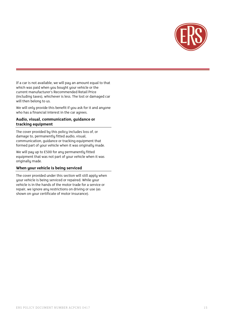

If a car is not available, we will pay an amount equal to that which was paid when you bought your vehicle or the current manufacturer's Recommended Retail Price (including taxes), whichever is less. The lost or damaged car will then belong to us.

We will only provide this benefit if you ask for it and anyone who has a financial interest in the car agrees.

#### **Audio, visual, communication, guidance or tracking equipment**

The cover provided by this policy includes loss of, or damage to, permanently fitted audio, visual, communication, guidance or tracking equipment that formed part of your vehicle when it was originally made.

We will pay up to £500 for any permanently fitted equipment that was not part of your vehicle when it was originally made.

#### **When your vehicle is being serviced**

The cover provided under this section will still apply when your vehicle is being serviced or repaired. While your vehicle is in the hands of the motor trade for a service or repair, we ignore any restrictions on driving or use (as shown on your certificate of motor insurance).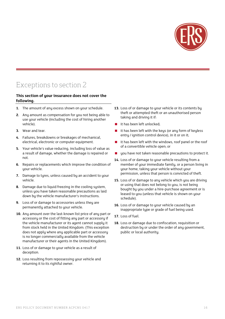

### Exceptions to section 2

#### **This section of your insurance does not cover the following.**

- **1.** The amount of any excess shown on your schedule.
- **2.** Any amount as compensation for you not being able to use your vehicle (including the cost of hiring another vehicle).
- **3.** Wear and tear.
- **4.** Failures, breakdowns or breakages of mechanical, electrical, electronic or computer equipment.
- **5.** Your vehicle's value reducing, including loss of value as a result of damage, whether the damage is repaired or not.
- **6.** Repairs or replacements which improve the condition of your vehicle.
- **7.** Damage to tyres, unless caused by an accident to your vehicle.
- **8.** Damage due to liquid freezing in the cooling system, unless you have taken reasonable precautions as laid down by the vehicle manufacturer's instructions.
- **9.** Loss of or damage to accessories unless they are permanently attached to your vehicle.
- **10.** Any amount over the last-known list price of any part or accessory or the cost of fitting any part or accessory if the vehicle manufacturer or its agent cannot supply it from stock held in the United Kingdom. (This exception does not apply where any applicable part or accessory is no longer commercially available from the vehicle manufacturer or their agents in the United Kingdom).
- **11.** Loss of or damage to your vehicle as a result of deception.
- **12.** Loss resulting from repossessing your vehicle and returning it to its rightful owner.
- **13.** Loss of or damage to your vehicle or its contents by theft or attempted theft or an unauthorised person taking and driving it if:
- it has been left unlocked;
- it has been left with the keys (or any form of keyless entry / ignition control device), in it or on it;
- $\blacksquare$  it has been left with the windows, roof panel or the roof of a convertible vehicle open; or
- you have not taken reasonable precautions to protect it.
- **14.** Loss of or damage to your vehicle resulting from a member of your immediate family, or a person living in your home, taking your vehicle without your permission, unless that person is convicted of theft.
- **15.** Loss of or damage to any vehicle which you are driving or using that does not belong to you, is not being bought by you under a hire-purchase agreement or is leased to you (unless that vehicle is shown on your schedule).
- **16.** Loss of or damage to your vehicle caused by an inappropriate tupe or grade of fuel being used.
- **17.** Loss of fuel.
- **18.** Loss or damage due to confiscation, requisition or destruction bu or under the order of any government. public or local authority.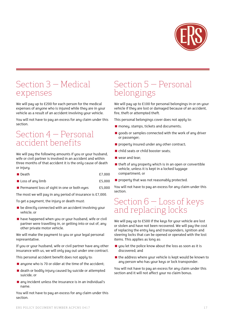

## Section 3 — Medical expenses

We will pay up to £200 for each person for the medical expenses of anyone who is injured while they are in your vehicle as a result of an accident involving your vehicle.

You will not have to pay an excess for any claim under this section.

### Section 4 — Personal accident benefits

We will pay the following amounts if you or your husband, wife or civil partner is involved in an accident and within three months of that accident it is the only cause of death or injury.

| $\blacksquare$ Death | £7.000 |
|----------------------|--------|
|                      |        |

- Loss of any limb <br>■ Loss of any limb
- **Permanent loss of sight in one or both eyes** £5,000

The most we will pay in any period of insurance is £7,000.

To get a payment, the injury or death must:

- $\blacksquare$  be directly connected with an accident involving your vehicle; or
- $\blacksquare$  have happened when you or your husband, wife or civil partner were travelling in, or getting into or out of, any other private motor vehicle.

We will make the payment to you or your legal personal representative.

If you or your husband, wife or civil partner have any other insurance with us, we will only pay out under one contract.

This personal accident benefit does not apply to:

- $\blacksquare$  anyone who is 70 or older at the time of the accident;
- death or bodily injury caused by suicide or attempted suicide; or
- any incident unless the insurance is in an individual's name.

You will not have to pay an excess for any claim under this section.

## Section 5 — Personal belongings

We will pay up to £100 for personal belongings in or on your vehicle if they are lost or damaged because of an accident, fire, theft or attempted theft.

This personal belongings cover does not apply to:

- **n** money, stamps, tickets and documents;
- $\blacksquare$  goods or samples connected with the work of any driver or passenger;
- $\blacksquare$  property insured under any other contract;
- child seats or child booster seats;
- wear and tear:
- $\blacksquare$  theft of any property which is in an open or convertible vehicle, unless it is kept in a locked luggage compartment; or
- property that was not reasonably protected.

You will not have to pay an excess for any claim under this section.

### Section 6 — Loss of keys and replacing locks

We will pay up to £500 if the keys for your vehicle are lost or stolen and have not been recovered. We will pay the cost of replacing the entry key and transponders, ignition and steering locks that can be opened or operated with the lost items. This applies as long as:

- $\blacksquare$  you let the police know about the loss as soon as it is discovered; and
- $\blacksquare$  the address where your vehicle is kept would be known to any person who has your keys or lock transponder.

You will not have to pay an excess for any claim under this section and it will not affect your no claim bonus.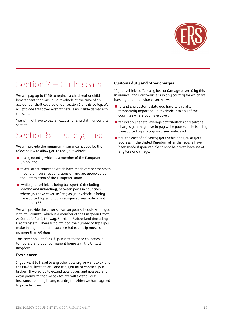

## Section 7 — Child seats

We will pay up to £150 to replace a child seat or child booster seat that was in your vehicle at the time of an accident or theft covered under section 2 of this policy. We will provide this cover even if there is no visible damage to the seat.

You will not have to pay an excess for any claim under this section.

## Section 8 — Foreign use

We will provide the minimum insurance needed by the relevant law to allow you to use your vehicle:

- $\blacksquare$  in any country which is a member of the European Union; and
- $\blacksquare$  in any other countries which have made arrangements to meet the insurance conditions of, and are approved by, the Commission of the European Union.
- while your vehicle is being transported (including loading and unloading), between ports in countries where you have cover, as long as your vehicle is being transported by rail or by a recognised sea route of not more than 65 hours.

We will provide the cover shown on your schedule when you visit any country which is a member of the European Union, Andorra, Iceland, Norway, Serbia or Switzerland (including Liechtenstein). There is no limit on the number of trips you make in any period of insurance but each trip must be for no more than 60 days.

This cover only applies if your visit to these countries is temporary and your permanent home is in the United Kingdom.

#### **Extra cover**

If you want to travel to any other country, or want to extend the 60-day limit on any one trip, you must contact your broker. If we agree to extend your cover, and you pay any extra premium that we ask for: we will extend your insurance to apply in any country for which we have agreed to provide cover.

#### **Customs duty and other charges**

If your vehicle suffers any loss or damage covered by this insurance, and your vehicle is in any country for which we have agreed to provide cover, we will:

- $\blacksquare$  refund any customs duty you have to pay after temporarily importing your vehicle into any of the countries where you have cover;
- $\blacksquare$  refund any general average contributions and salvage charges you may have to pay while your vehicle is being transported by a recognised sea route; and
- pay the cost of delivering your vehicle to you at your address in the United Kingdom after the repairs have been made if your vehicle cannot be driven because of any loss or damage.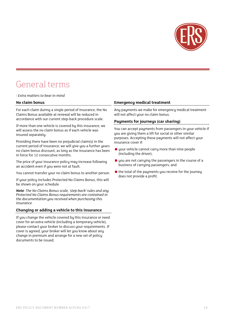

## General terms

*- Extra matters to bear in mind*

#### **No claim bonus**

For each claim during a single period of insurance, the No Claims Bonus available at renewal will be reduced in accordance with our current step-back procedure scale.

If more than one vehicle is covered by this insurance, we will assess the no claim bonus as if each vehicle was insured separately.

Providing there have been no prejudicial claim(s) in the current period of insurance; we will give you a further years no claim bonus discount, as long as the insurance has been in force for 12 consecutive months.

The price of your insurance policy may increase following an accident even if you were not at fault.

You cannot transfer your no claim bonus to another person.

If your policy includes Protected No Claims Bonus, this will be shown on your schedule.

*Note: The No Claims Bonus scale, 'step-back' rules and any Protected No Claims Bonus requirements are contained in the documentation you received when purchasing this insurance.* 

#### **Changing or adding a vehicle to this insurance**

If you change the vehicle covered by this insurance or need cover for an extra vehicle (including a temporary vehicle), please contact your broker to discuss your requirements. If cover is agreed, your broker will let you know about any change in premium and arrange for a new set of policy documents to be issued.

#### **Emergency medical treatment**

Any payments we make for emergency medical treatment will not affect your no claim bonus.

#### **Payments for journeys (car sharing)**

You can accept payments from passengers in your vehicle if you are giving them a lift for social or other similar purposes. Accepting these payments will not affect your insurance cover if:

- gour vehicle cannot carry more than nine people (including the driver);
- $\blacksquare$  you are not carrying the passengers in the course of a business of carrying passengers; and
- $\blacksquare$  the total of the payments you receive for the journey does not provide a profit.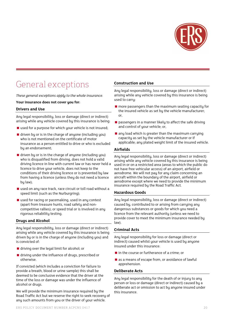

## General exceptions

*These general exceptions apply to the whole insurance.* 

Your insurance does not cover you for:

#### **Drivers and Use**

Any legal responsibility, loss or damage (direct or indirect) arising while any vehicle covered by this insurance is being:

- used for a purpose for which your vehicle is not insured;
- $\blacksquare$  driven by or is in the charge of anyone (including you) who is not mentioned on the certificate of motor insurance as a person entitled to drive or who is excluded by an endorsement;
- driven by or is in the charge of anyone (including you) who is disqualified from driving, does not hold a valid driving licence in line with current law or has never held a licence to drive your vehicle, does not keep to the conditions of their driving licence or is prevented by law from having a licence (unless they do not need a licence by law);
- used on any race track, race circuit or toll road without a speed limit (such as the Nurburgring);
- used for racing or pacemaking, used in any contest (apart from treasure hunts, road safety and noncompetitive rallies); or speed trial or is involved in any rigorous reliability testing.

#### **Drugs and Alcohol**

Any legal responsibility, loss or damage (direct or indirect) arising while any vehicle covered by this insurance is being driven bu or is in the charge of anyone (including you) and is convicted of:

- driving over the legal limit for alcohol; or
- driving under the influence of drugs, prescribed or otherwise.

If convicted (which includes a conviction for failure to provide a breath, blood or urine sample) this shall be deemed to be conclusive evidence that the driver at the time of the loss or damage was under the influence of alcohol or drugs.

We will provide the minimum insurance required by the Road Traffic Act but we reserve the right to seek recovery of any such amounts from you or the driver of your vehicle.

#### **Construction and Use**

Any legal responsibility, loss or damage (direct or indirect) arising while any vehicle covered by this insurance is being used to carry:

- $\blacksquare$  more passengers than the maximum seating capacity for the insured vehicle as set by the vehicle manufacturer; or,
- **passengers in a manner likely to affect the safe driving** and control of your vehicle; or,
- $\blacksquare$  any load which is greater than the maximum carrying capacity as set by the vehicle manufacturer or if applicable; any plated weight limit of the insured vehicle.

#### **Airfields**

Any legal responsibility, loss or damage (direct or indirect) arising while any vehicle covered by this insurance is being used in or on a restricted area (areas to which the public do not have free vehicular access) of an airport, airfield or aerodrome. We will not pay for any claim concerning an aircraft within the boundary of the airport, airfield or aerodrome except where we need to provide the minimum insurance required by the Road Traffic Act.

#### **Hazardous Goods**

Any legal responsibility, loss or damage (direct or indirect) caused by, contributed to or arising from carrying any dangerous substances or goods for which you need a licence from the relevant authority (unless we need to provide cover to meet the minimum insurance needed by law).

#### **Criminal Acts**

Any legal responsibility for loss or damage (direct or indirect) caused whilst your vehicle is used by anyone insured under this insurance:

- $\blacksquare$  in the course or furtherance of a crime; or
- as a means of escape from, or avoidance of lawful apprehension.

#### **Deliberate Acts**

Any legal responsibility for the death of or injury to any person or loss or damage (direct or indirect) caused by a deliberate act or omission to act by anyone insured under this insurance.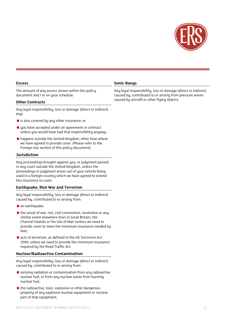

| <b>Excess</b>                                                                                                                                                                                                                                                      | <b>Sonic Bangs</b>                                                                                                        |
|--------------------------------------------------------------------------------------------------------------------------------------------------------------------------------------------------------------------------------------------------------------------|---------------------------------------------------------------------------------------------------------------------------|
| The amount of any excess shown within this policy<br>document and / or on your schedule.                                                                                                                                                                           | Any legal responsibility, loss or damage (direct or indirect)<br>caused by, contributed to or arising from pressure waves |
| <b>Other Contracts</b>                                                                                                                                                                                                                                             | caused by aircraft or other flying objects.                                                                               |
| Any legal responsibility, loss or damage (direct or indirect)<br>that:                                                                                                                                                                                             |                                                                                                                           |
| is also covered by any other insurance; or                                                                                                                                                                                                                         |                                                                                                                           |
| quark up to under an agreement or contract<br>unless you would have had that responsibility anyway.                                                                                                                                                                |                                                                                                                           |
| nappens outside the United Kingdom, other than where<br>we have agreed to provide cover. (Please refer to the<br>Foreign Use section of this policy document).                                                                                                     |                                                                                                                           |
| <b>Jurisdiction</b>                                                                                                                                                                                                                                                |                                                                                                                           |
| Any proceedings brought against you, or judgment passed<br>in any court outside the United Kingdom, unless the<br>proceedings or judgment arises out of your vehicle being<br>used in a foreign country which we have agreed to extend<br>this insurance to cover. |                                                                                                                           |
| <b>Earthquake, Riot War and Terrorism</b>                                                                                                                                                                                                                          |                                                                                                                           |
| Any legal responsibility, loss or damage (direct or indirect)<br>caused by, contributed to or arising from:                                                                                                                                                        |                                                                                                                           |
| $\blacksquare$ an earthquake;                                                                                                                                                                                                                                      |                                                                                                                           |
| $\blacksquare$ the result of war, riot, civil commotion, revolution or any<br>similar event elsewhere than in Great Britain, the<br>Channel Islands or the Isle of Man (unless we need to<br>provide cover to meet the minimum insurance needed by<br>law);        |                                                                                                                           |
| acts of terrorism, as defined in the UK Terrorism Act<br>2000, unless we need to provide the minimum insurance<br>required by the Road Traffic Act.                                                                                                                |                                                                                                                           |
| <b>Nuclear/Radioactive Contamination</b>                                                                                                                                                                                                                           |                                                                                                                           |
| Any legal responsibility, loss or damage (direct or indirect)<br>caused by, contributed to or arising from:                                                                                                                                                        |                                                                                                                           |
| onising radiation or contamination from any radioactive                                                                                                                                                                                                            |                                                                                                                           |

- nuclear fuel, or from any nuclear waste from burning nuclear fuel;
- the radioactive, toxic, explosive or other dangerous property of any explosive nuclear equipment or nuclear part of that equipment;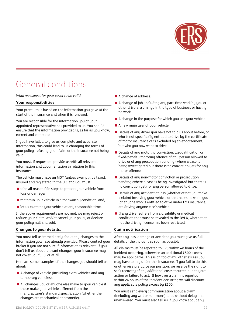

## General conditions

*What we expect for your cover to be valid* 

#### **Your responsibilities**

Your premium is based on the information you gave at the start of the insurance and when it is renewed.

You are responsible for the information you or your appointed representative has provided to us. You should ensure that the information provided is, as far as you know, correct and complete.

If you have failed to give us complete and accurate information, this could lead to us changing the terms of your policy, refusing your claim or the insurance not being valid.

You must, if requested, provide us with all relevant information and documentation in relation to this insurance.

The vehicle must have an MOT (unless exempt), be taxed, insured and registered in the UK and you must:

- take all reasonable steps to protect your vehicle from loss or damage;
- maintain your vehicle in a roadworthy condition: and,
- $\blacksquare$  let us examine your vehicle at any reasonable time.

If the above requirements are not met, we may reject or reduce your claim, and/or cancel your policy or declare your policy null and void.

#### **Changes to your details.**

You must tell us immediately about any changes to the information you have already provided. Please contact your broker if you are not sure if information is relevant. If you don't tell us about relevant changes, your insurance may not cover you fully, or at all.

Here are some examples of the changes you should tell us about:

- A change of vehicle (including extra vehicles and any temporary vehicles).
- All changes you or anyone else make to your vehicle if these make your vehicle different from the manufacturer's standard specification (whether the changes are mechanical or cosmetic).
- A change of address.
- $\blacksquare$  A change of job, including any part-time work by you or other drivers, a change in the type of business or having no work.
- $\blacksquare$  A change in the purpose for which you use your vehicle.
- A new main user of your vehicle.
- Details of any driver you have not told us about before, or who is not specifically entitled to drive by the certificate of motor insurance or is excluded by an endorsement, but who you now want to drive.
- Details of any motoring conviction, disqualification or fixed-penalty motoring offence of any person allowed to drive or of any prosecution pending (where a case is being investigated but there is no conviction yet) for any motor offence.
- Details of any non-motor conviction or prosecution pending (where a case is being investigated but there is no conviction yet) for any person allowed to drive.
- Details of any accident or loss (whether or not you make a claim) involving your vehicle or that happens while you (or anyone who is entitled to drive under this insurance) are driving anyone else's vehicle.
- If any driver suffers from a disability or medical condition that must be revealed to the DVLA, whether or not the driving licence has been restricted.

#### **Claim notification**

After any loss, damage or accident you must give us full details of the incident as soon as possible.

All claims must be reported to ERS within 48 hours of the incident occurring, otherwise an additional £500 excess may be applicable. This is on top of any other excess you may have to pay under this insurance. If you fail to do this, or otherwise prejudice our position, we reserve the right to seek recovery of any additional costs incurred due to your action or failure to act. If however a claim is reported within 24 hours of the incident occurring we will discount any applicable policy excess by £100.

You must send every communication about a claim (including any writ or summons) to us without delay and unanswered. You must also tell us if you know about any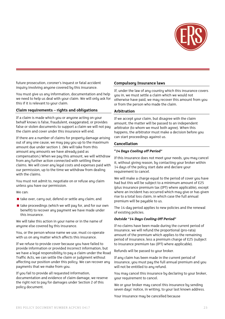

future prosecution, coroner's inquest or fatal accident inquiry involving anyone covered by this insurance.

You must give us any information, documentation and help we need to help us deal with your claim. We will only ask for this if it is relevant to your claim.

#### **Claim requirements – rights and obligations**

If a claim is made which you or anyone acting on your behalf knows is false, fraudulent, exaggerated, or provides false or stolen documents to support a claim we will not pay the claim and cover under this insurance will end.

If there are a number of claims for property damage arising out of any one cause, we may pay you up to the maximum amount due under section 1. (We will take from this amount any amounts we have already paid as compensation.) When we pay this amount, we will withdraw from any further action connected with settling these claims. We will cover any legal costs and expenses paid with our permission, up to the time we withdraw from dealing with the claims.

You must not admit to, negotiate on or refuse any claim unless you have our permission.

We can:

- take over, carry out, defend or settle any claim; and
- take proceedings (which we will pay for, and for our own benefit) to recover any payment we have made under this insurance.

We will take this action in your name or in the name of anyone else covered by this insurance.

You, or the person whose name we use, must co-operate with us on any matter which affects this insurance.

If we refuse to provide cover because you have failed to provide information or provided incorrect information, but we have a legal responsibility to pay a claim under the Road Traffic Acts, we can settle the claim or judgment without affecting our position under this policy. We can recover any payments that we make from you.

If you fail to provide all requested information, documentation and evidence of claim damage, we reserve the right not to pay for damages under Section 2 of this policy document.

#### **Compulsory Insurance laws**

If, under the law of any country which this insurance covers you in, we must settle a claim which we would not otherwise have paid, we may recover this amount from you or from the person who made the claim.

#### **Arbitration**

If we accept your claim, but disagree with the claim amount, the matter will be passed to an independent arbitrator (to whom we must both agree). When this happens, the arbitrator must make a decision before you can start proceedings against us.

#### **Cancellation**

#### **"***14 Days Cooling off Period"*

If this insurance does not meet your needs, you may cancel it, without giving reason, by contacting your broker within 14 days of the policy start date and declare your requirement to cancel.

We will make a charge equal to the period of cover you have had but this will be subject to a minimum amount of £25 (plus insurance premium tax (IPT) where applicable), except where an incident has occurred which may give or has given rise to a total loss claim, in which case the full annual premium will be payable to us.

The 14-day period applies to new policies and the renewal of existing policies.

#### *Outside "14 Days Cooling Off Period"*

If no claims have been made during the current period of insurance, we will refund the proportional (pro-rata) amount of the premium which applies to the remaining period of insurance, less a premium charge of £25 (subject to insurance premium tax (IPT) where applicable).

Refunds will be passed to your broker.

If any claim has been made in the current period of insurance, you must pay the full annual premium and you will not be entitled to any refund.

You may cancel this insurance by declaring to your broker, your requirement to cancel.

We or your broker may cancel this insurance by sending seven daus' notice, in writing, to your last known address.

Your insurance may be cancelled because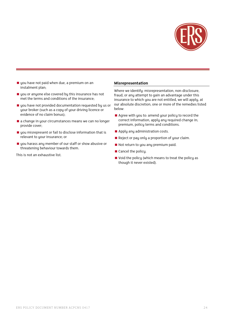

- $\blacksquare$  you have not paid when due, a premium on an instalment plan;
- $\blacksquare$  you or anyone else covered by this insurance has not met the terms and conditions of the insurance;
- $\blacksquare$  you have not provided documentation requested by us or your broker (such as a copy of your driving licence or evidence of no claim bonus);
- $\blacksquare$  a change in your circumstances means we can no longer provide cover;
- $\blacksquare$  you misrepresent or fail to disclose information that is relevant to your insurance; or
- quou harass any member of our staff or show abusive or threatening behaviour towards them.

This is not an exhaustive list.

#### **Misrepresentation**

Where we identifu: misrepresentation, non-disclosure, fraud, or any attempt to gain an advantage under this insurance to which you are not entitled, we will apply, at our absolute discretion, one or more of the remedies listed below:

- Agree with you to: amend your policy to record the correct information, apply any required change in; premium, policy terms and conditions.
- **Apply any administration costs.**
- Reject or pay only a proportion of your claim.
- Not return to you any premium paid.
- Cancel the policy.
- Void the policy (which means to treat the policy as though it never existed).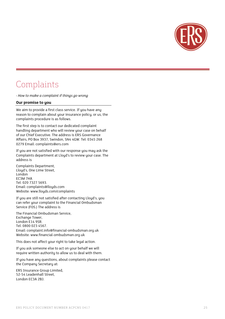

## Complaints

*- How to make a complaint if things go wrong* 

#### **Our promise to you**

We aim to provide a first class service. If you have any reason to complain about your insurance policy, or us, the complaints procedure is as follows.

The first step is to contact our dedicated complaint handling department who will review your case on behalf of our Chief Executive. The address is ERS Governance Affairs, PO Box 3937, Swindon, SN4 4GW. Tel: 0345 268 0279 Email: complaints@ers.com

If you are not satisfied with our response you may ask the Complaints department at Lloyd's to review your case. The address is

Complaints Department, Lloyd's, One Lime Street, London EC3M 7HA Tel: 020 7327 5693. Email: complaints@lloyds.com Website: www.lloyds.com/complaints

If you are still not satisfied after contacting Lloyd's, you can refer your complaint to the Financial Ombudsman Service (FOS.) The address is

The Financial Ombudsman Service, Exchange Tower, London E14 9SR. Tel: 0800 023 4567. Email: complaint.info@financial-ombudsman.org.uk Website: www.financial-ombudsman.org.uk

This does not affect your right to take legal action.

If you ask someone else to act on your behalf we will require written authority to allow us to deal with them.

If you have any questions, about complaints please contact the Company Secretary at:

ERS Insurance Group Limited, 52-54 Leadenhall Street, London EC3A 2BJ.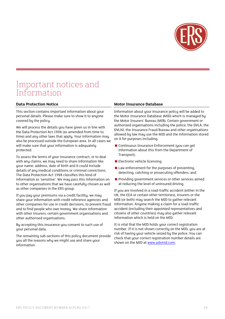

### Important notices and Information

#### **Data Protection Notice**

This section contains important information about your personal details. Please make sure to show it to anyone covered by the policy.

We will process the details you have given us in line with the Data Protection Act 1998 (as amended from time to time) and any other laws that apply. Your information may also be processed outside the European area. In all cases we will make sure that your information is adequately protected.

To assess the terms of your insurance contract, or to deal with any claims, we may need to share information like your name, address, date of birth and it could include details of any medical conditions or criminal convictions. The Data Protection Act 1998 classifies this kind of information as 'sensitive'. We may pass this information on to other organisations that we have carefully chosen as well as other companies in the ERS group.

If you pay your premiums via a credit facility, we may share your information with credit reference agencies and other companies for use in credit decisions, to prevent fraud and to find people who owe money. We share information with other insurers, certain government organisations and other authorised organisations.

By accepting this insurance you consent to such use of your personal data.

The remaining sub-sections of this policy document provide you all the reasons why we might use and share your information.

#### **Motor Insurance Database**

Information about your insurance policy will be added to the Motor Insurance Database (MID) which is managed by the Motor Insurers' Bureau (MIB). Certain government or authorised organisations including the police, the DVLA, the DVLNI, the Insurance Fraud Bureau and other organisations allowed by law may use the MID and the information stored on it for purposes including:

- Continuous Insurance Enforcement (you can get information about this from the Department of Transport);
- **Electronic vehicle licensing;**
- $\blacksquare$  Law enforcement for the purposes of preventing, detecting, catching or prosecuting offenders; and
- $\blacksquare$  Providing government services or other services aimed at reducing the level of uninsured driving.

If you are involved in a road-traffic accident (either in the UK, the EEA or certain other territories), insurers or the MIB (or both) may search the MID to gather relevant information. Anyone making a claim for a road-traffic accident (including their appointed representatives and citizens of other countries) may also gather relevant information which is held on the MID.

It is vital that the MID holds your correct registration number. If it is not shown correctly on the MID, you are at risk of having your vehicle seized by the police. You can check that your correct registration number details are shown on the MID at www.askmid.com.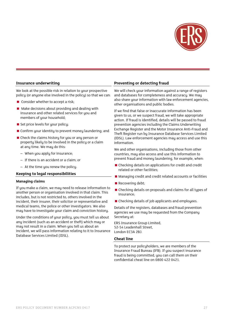

#### **Insurance underwriting**

We look at the possible risk in relation to your prospective policy (or anyone else involved in the policy) so that we can:

- Consider whether to accept a risk;
- **Make decisions about providing and dealing with** insurance and other related services for you and members of your household;
- $\blacksquare$  Set price levels for your policy;
- Confirm your identity to prevent money laundering; and
- Check the claims history for you or any person or property likely to be involved in the policy or a claim at any time. We may do this:
	- When you apply for insurance;
	- If there is an accident or a claim; or
	- At the time you renew the policy.

#### **Keeping to legal responsibilities**

#### **Managing claims**

If you make a claim, we may need to release information to another person or organisation involved in that claim. This includes, but is not restricted to, others involved in the incident, their insurer, their solicitor or representative and medical teams, the police or other investigators. We also may have to investigate your claim and conviction history.

Under the conditions of your policy, you must tell us about any incident (such as an accident or theft) which may or may not result in a claim. When you tell us about an incident, we will pass information relating to it to Insurance Database Services Limited (IDSL).

#### **Preventing or detecting fraud**

We will check your information against a range of registers and databases for completeness and accuracy. We may also share your information with law enforcement agencies, other organisations and public bodies.

If we find that false or inaccurate information has been given to us, or we suspect fraud, we will take appropriate action. If fraud is identified, details will be passed to fraud prevention agencies including the Claims Underwriting Exchange Register and the Motor Insurance Anti-Fraud and Theft Register run by Insurance Database Services Limited (IDSL). Law enforcement agencies may access and use this information.

We and other organisations, including those from other countries, may also access and use this information to prevent fraud and money laundering, for example, when:

- Checking details on applications for credit and credit related or other facilities;
- Managing credit and credit related accounts or facilities
- Recovering debt;
- Checking details on proposals and claims for all types of insurance;
- Checking details of job applicants and employees.

Details of the registers, databases and fraud prevention agencies we use may be requested from the Company Secretary at:

ERS Insurance Group Limited, 52-54 Leadenhall Street, London EC3A 2BJ.

#### **Cheat line**

To protect our policyholders, we are members of the Insurance Fraud Bureau (IFB). If you suspect insurance fraud is being committed, you can call them on their confidential cheat line on 0800 422 0421.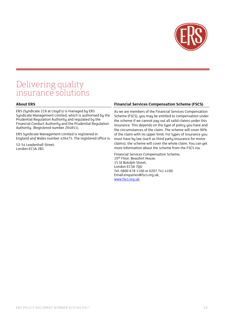

## Delivering quality insurance solutions

#### **About ERS**

ERS (Syndicate 218 at Lloyd's) is managed by ERS Syndicate Management Limited, which is authorised by the Prudential Regulation Authority and regulated by the Financial Conduct Authority and the Prudential Regulation Authority. (Registered number 204851).

ERS Syndicate Management Limited is registered in England and Wales number 426475. The registered office is:

52-54 Leadenhall Street, London EC3A 2BJ.

#### **Financial Services Compensation Scheme (FSCS)**

As we are members of the Financial Services Compensation Scheme (FSCS), you may be entitled to compensation under the scheme if we cannot pay out all valid claims under this insurance. This depends on the type of policy you have and the circumstances of the claim. The scheme will cover 90% of the claim with no upper limit. For types of insurance you must have by law (such as third party insurance for motor claims), the scheme will cover the whole claim. You can get more information about the scheme from the FSCS via:

Financial Services Compensation Scheme, 10<sup>th</sup> Floor, Beaufort House, 15 St Botolph Street, London EC3A 7QU Tel: 0800 678 1100 or 0207 741 4100. Email:enquiries@fscs.org.uk, www.fscs.org.uk.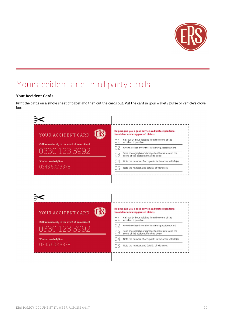

## Your accident and third party cards

#### **Your Accident Cards**

Print the cards on a single sheet of paper and then cut the cards out. Put the card in your wallet / purse or vehicle's glove box.

| YOUR ACCIDENT CARD<br>Call immediately in the event of an accident<br>330 123 5992<br><b>Windscreen helpline</b><br>0345 602 3378 | Help us give you a good service and protect you from<br>fraudulent and exaggerated claims:<br>Call our 24 hour helpline from the scene of the<br>01<br>accident if possible<br>02<br>Give the other driver the Third Party Accident Card<br>Take photographs of damage to all vehicles and the<br>03<br>scene of the accident if safe to do so<br>04<br>Note the number of occupants in the other vehicle(s)<br>05<br>Note the number, and details, of witnesses |
|-----------------------------------------------------------------------------------------------------------------------------------|------------------------------------------------------------------------------------------------------------------------------------------------------------------------------------------------------------------------------------------------------------------------------------------------------------------------------------------------------------------------------------------------------------------------------------------------------------------|
|                                                                                                                                   |                                                                                                                                                                                                                                                                                                                                                                                                                                                                  |
|                                                                                                                                   | Help us give you a good service and protect you from                                                                                                                                                                                                                                                                                                                                                                                                             |
| YOUR ACCIDENT CARD<br>Call immediately in the event of an accident<br>0330 123 5992<br><b>Windscreen helpline</b>                 | fraudulent and exaggerated claims:<br>Call our 24 hour helpline from the scene of the<br>01<br>accident if possible<br>02<br>Give the other driver the Third Party Accident Card<br>Take photographs of damage to all vehicles and the<br>03<br>scene of the accident if safe to do so<br>04<br>Note the number of occupants in the other vehicle(s)                                                                                                             |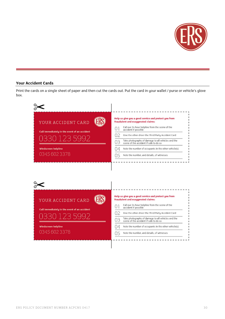

#### **Your Accident Cards**

Print the cards on a single sheet of paper and then cut the cards out. Put the card in your wallet / purse or vehicle's glove box.

| YOUR ACCIDENT CARD                                                                  | Help us give you a good service and protect you from<br>fraudulent and exaggerated claims:         |
|-------------------------------------------------------------------------------------|----------------------------------------------------------------------------------------------------|
|                                                                                     | Call our 24 hour helpline from the scene of the<br>01<br>accident if possible                      |
| Call immediately in the event of an accident                                        | 02<br>Give the other driver the Third Party Accident Card                                          |
| 0330 123 5992                                                                       | Take photographs of damage to all vehicles and the<br>03<br>scene of the accident if safe to do so |
| <b>Windscreen helpline</b>                                                          | 04<br>Note the number of occupants in the other vehicle(s)                                         |
| 0345 602 3378                                                                       | Note the number, and details, of witnesses<br>05                                                   |
|                                                                                     |                                                                                                    |
|                                                                                     | Help us give you a good service and protect you from                                               |
|                                                                                     | fraudulent and exaggerated claims:                                                                 |
|                                                                                     | Call our 24 hour helpline from the scene of the<br>01<br>accident if possible                      |
|                                                                                     | 02<br>Give the other driver the Third Party Accident Card                                          |
| YOUR ACCIDENT CARD<br>Call immediately in the event of an accident<br>0330 123 5992 | Take photographs of damage to all vehicles and the<br>03<br>scene of the accident if safe to do so |
| <b>Windscreen helpline</b><br>0345 602 3378                                         | Note the number of occupants in the other vehicle(s)<br>( ) 4                                      |

-----

OS Note the number, and details, of witnesses

<u> - - - - - - - - - - - -</u>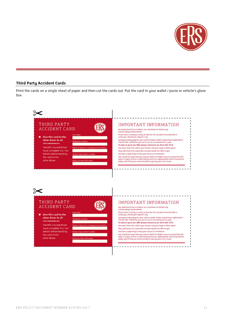

#### **Third Party Accident Cards**

Print the cards on a single sheet of paper and then cut the cards out. Put the card in your wallet / purse or vehicle's glove box

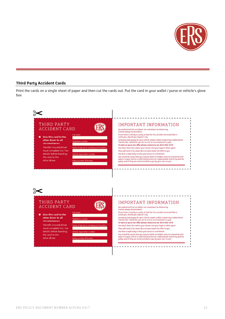

#### **Third Party Accident Cards**

Print the cards on a single sheet of paper and then cut the cards out. Put the card in your wallet / purse or vehicle's glove box